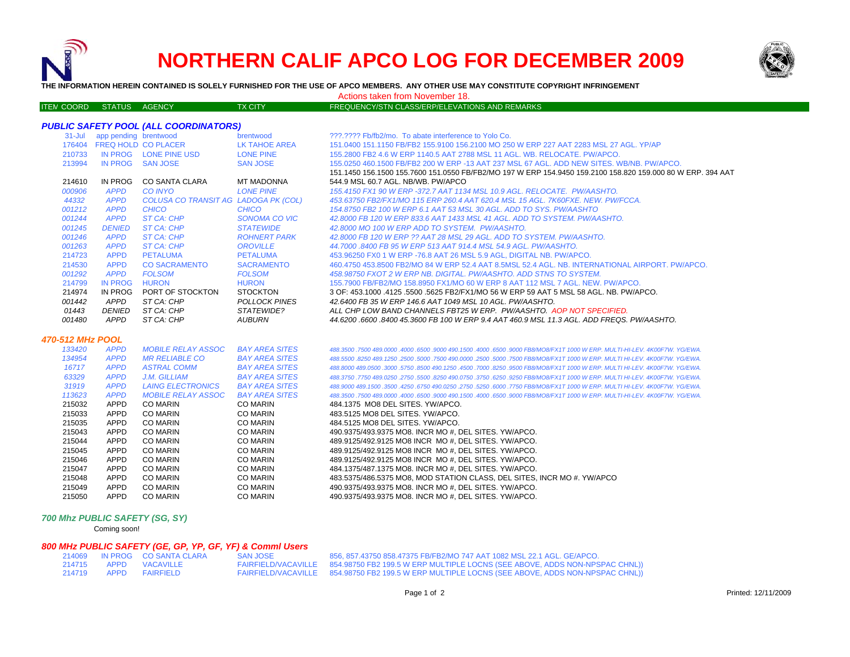

ITE M

# **NORTHERN CALIF APCO LOG FOR DECEMBER 2009**



**THE INFORMATION HEREIN CONTAINED IS SOLELY FURNISHED FOR THE USE OF APCO MEMBERS. ANY OTHER USE MAY CONSTITUTE COPYRIGHT INFRINGEMENT**

Actions taken from November 18.

### TX CITY FREQUENCY/STN CLASS/ERP/ELEVATIONS AND REMARKS

# *PUBLIC SAFETY POOL (ALL COORDINATORS)*

|                  | 31-Jul app pending brentwood |                                      | brentwood             | ???.???? Fb/fb2/mo. To abate interference to Yolo Co.                                                                        |
|------------------|------------------------------|--------------------------------------|-----------------------|------------------------------------------------------------------------------------------------------------------------------|
|                  |                              | 176404 FREQ HOLD CO PLACER           | LK TAHOE AREA         | 151.0400 151.1150 FB/FB2 155.9100 156.2100 MO 250 W ERP 227 AAT 2283 MSL 27 AGL. YP/AP                                       |
| 210733           |                              | IN PROG LONE PINE USD                | <b>LONE PINE</b>      | 155,2800 FB2 4.6 W ERP 1140.5 AAT 2788 MSL 11 AGL, WB, RELOCATE, PW/APCO,                                                    |
| 213994           |                              | IN PROG SAN JOSE                     | <b>SAN JOSE</b>       | 155,0250 460,1500 FB/FB2 200 W ERP -13 AAT 237 MSL 67 AGL, ADD NEW SITES, WB/NB, PW/APCO,                                    |
|                  |                              |                                      |                       | 151.1450 156.1500 155.7600 151.0550 FB/FB2/MO 197 W ERP 154.9450 159.2100 158.820 159.000 80 W ERP. 394 AAT                  |
| 214610           | IN PROG                      | CO SANTA CLARA                       | MT MADONNA            | 544.9 MSL 60.7 AGL, NB/WB, PW/APCO                                                                                           |
| 000906           | <b>APPD</b>                  | <b>CO INYO</b>                       | <b>LONE PINE</b>      | 155.4150 FX1 90 W ERP -372.7 AAT 1134 MSL 10.9 AGL, RELOCATE, PW/AASHTO,                                                     |
| 44332            | <b>APPD</b>                  | COLUSA CO TRANSIT AG LADOGA PK (COL) |                       | 453.63750 FB2/FX1/MO 115 ERP 260.4 AAT 620.4 MSL 15 AGL, 7K60FXE, NEW, PW/FCCA,                                              |
| 001212           | <b>APPD</b>                  | <b>CHICO</b>                         | <b>CHICO</b>          | 154,8750 FB2 100 W ERP 6.1 AAT 53 MSL 30 AGL, ADD TO SYS, PW/AASHTO                                                          |
| 001244           | <b>APPD</b>                  | ST CA: CHP                           | <b>SONOMA CO VIC</b>  | 42.8000 FB 120 W ERP 833.6 AAT 1433 MSL 41 AGL, ADD TO SYSTEM, PW/AASHTO,                                                    |
| 001245           | <b>DENIED</b>                | ST CA: CHP                           | <b>STATEWIDE</b>      | 42.8000 MO 100 W ERP ADD TO SYSTEM. PW/AASHTO.                                                                               |
| 001246           | <b>APPD</b>                  | ST CA: CHP                           | <b>ROHNERT PARK</b>   | 42.8000 FB 120 W ERP ?? AAT 28 MSL 29 AGL. ADD TO SYSTEM. PW/AASHTO.                                                         |
| 001263           | <b>APPD</b>                  | ST CA: CHP                           | <b>OROVILLE</b>       | 44.7000 .8400 FB 95 W ERP 513 AAT 914.4 MSL 54.9 AGL, PW/AASHTO.                                                             |
| 214723           | <b>APPD</b>                  | <b>PETALUMA</b>                      | <b>PETALUMA</b>       | 453,96250 FX0 1 W ERP -76.8 AAT 26 MSL 5.9 AGL, DIGITAL NB, PW/APCO,                                                         |
| 214530           | <b>APPD</b>                  | <b>CO SACRAMENTO</b>                 | <b>SACRAMENTO</b>     | 460.4750 453.8500 FB2/MO 84 W ERP 52.4 AAT 8.5MSL 52.4 AGL. NB. INTERNATIONAL AIRPORT, PW/APCO.                              |
| 001292           | <b>APPD</b>                  | <b>FOLSOM</b>                        | <b>FOLSOM</b>         | 458.98750 FXOT 2 W ERP NB. DIGITAL. PW/AASHTO. ADD STNS TO SYSTEM.                                                           |
| 214799           | <b>IN PROG</b>               | <b>HURON</b>                         | <b>HURON</b>          | 155.7900 FB/FB2/MO 158.8950 FX1/MO 60 W ERP 8 AAT 112 MSL 7 AGL, NEW, PW/APCO,                                               |
| 214974           | <b>IN PROG</b>               | PORT OF STOCKTON                     | <b>STOCKTON</b>       | 3 OF: 453,1000 .4125 .5500 .5625 FB2/FX1/MO 56 W ERP 59 AAT 5 MSL 58 AGL. NB. PW/APCO.                                       |
| 001442           | APPD                         | ST CA: CHP                           | <b>POLLOCK PINES</b>  | 42.6400 FB 35 W ERP 146.6 AAT 1049 MSL 10 AGL. PW/AASHTO.                                                                    |
| 01443            | DENIED                       | ST CA: CHP                           | STATEWIDE?            | ALL CHP LOW BAND CHANNELS FBT25 W ERP. PW/AASHTO. AOP NOT SPECIFIED.                                                         |
| 001480           | APPD                         | ST CA: CHP                           | AUBURN                | 44.6200 .6600 .8400 45.3600 FB 100 W ERP 9.4 AAT 460.9 MSL 11.3 AGL. ADD FREQS. PW/AASHTO.                                   |
| 470-512 MHz POOL |                              |                                      |                       |                                                                                                                              |
| 133420           | <b>APPD</b>                  | <b>MOBILE RELAY ASSOC</b>            | <b>BAY AREA SITES</b> | .4000 489,0000 489,0000 4000 6500 9000 490,1500 4000 6500 9000 FB8/MO8/FX1T 1000 W ERP, MULTI-HI-LEV, 4K00F7W, YG/EWA        |
| 134954           | <b>APPD</b>                  | <i>MR RELIABLE CO</i>                | <b>BAY AREA SITES</b> | 488,5500 ,8250 489,1250 ,2500 ,5000 ,7500 490,0000 ,2500 ,5000 ,7500 FB8/MO8/FX1T 1000 W ERP, MULTI HI-LEV, 4K00F7W, YG/EWA, |
| 16717            | <b>APPD</b>                  | <b>ASTRAL COMM</b>                   | <b>BAY AREA SITES</b> | 488.8000 489.0500 .3000 .5750 .8500 490.1250 .4500 .7000 .8250 .9500 FB8/MO8/FX1T 1000 W ERP. MULTI HI-LEV. 4K00F7W. YG/EWA. |
| 63329            | <b>APPD</b>                  | J.M. GILLIAM                         | <b>BAY AREA SITES</b> | 488.3750 .7750 489.0250 .2750 .5500 .8250 490.0750 .3750 .6250 .9250 FB8/MO8/FX1T 1000 W ERP. MULTI HI-LEV. 4K00F7W. YG/EWA. |
| 31919            | <b>APPD</b>                  | <b>LAING ELECTRONICS</b>             | <b>BAY AREA SITES</b> | 488,9000 489,1500 .3500 .4250 .6750 490.0250 .2750 .5250 .6000 .7750 FB8/MO8/FX1T 1000 W ERP. MULTI HI-LEV. 4K00F7W. YG/EWA. |
| 113623           | <b>APPD</b>                  | <b>MOBILE RELAY ASSOC</b>            | <b>BAY AREA SITES</b> | .4000 47500 489,0000 4000 4000 4000 4900 490,1500 4000 6500 9000 FB8/MO8/FX1T 1000 W ERP, MULTI-HI-LEV, 4K00F7W, YG/EWA      |
| 215032           | APPD                         | <b>CO MARIN</b>                      | <b>CO MARIN</b>       | 484.1375 MO8 DEL SITES, YW/APCO.                                                                                             |
| 215033           | APPD                         | <b>CO MARIN</b>                      | <b>CO MARIN</b>       | 483.5125 MO8 DEL SITES. YW/APCO.                                                                                             |
| 215035           | APPD                         | <b>CO MARIN</b>                      | <b>CO MARIN</b>       | 484.5125 MO8 DEL SITES. YW/APCO.                                                                                             |
| 215043           | APPD                         | <b>CO MARIN</b>                      | <b>CO MARIN</b>       | 490.9375/493.9375 MO8. INCR MO #. DEL SITES. YW/APCO.                                                                        |
| 215044           | APPD                         | <b>CO MARIN</b>                      | <b>CO MARIN</b>       | 489.9125/492.9125 MO8 INCR MO #, DEL SITES. YW/APCO.                                                                         |
| 215045           | APPD                         | <b>CO MARIN</b>                      | <b>CO MARIN</b>       | 489.9125/492.9125 MO8 INCR MO #, DEL SITES. YW/APCO.                                                                         |
| 215046           | <b>APPD</b>                  | <b>CO MARIN</b>                      | <b>CO MARIN</b>       | 489.9125/492.9125 MO8 INCR MO #, DEL SITES. YW/APCO.                                                                         |
| 215047           | <b>APPD</b>                  | <b>CO MARIN</b>                      | <b>CO MARIN</b>       | 484.1375/487.1375 MO8. INCR MO #. DEL SITES. YW/APCO.                                                                        |
| 215048           | <b>APPD</b>                  | <b>CO MARIN</b>                      | <b>CO MARIN</b>       | 483.5375/486.5375 MO8, MOD STATION CLASS, DEL SITES, INCR MO #. YW/APCO                                                      |
| 215049           | APPD                         | <b>CO MARIN</b>                      | <b>CO MARIN</b>       | 490.9375/493.9375 MO8. INCR MO #, DEL SITES. YW/APCO.                                                                        |

#### APPD CO MARIN CO MARIN 490.9375/493.9375 MO8. INCR MO #, DEL SITES. YW/APCO.

#### *700 Mhz PUBLIC SAFETY (SG, SY)*

Coming soon!

# *800 MHz PUBLIC SAFETY (GE, GP, YP, GF, YF) & Comml Users*

|  | 214069 IN PROG CO SANTA CLARA | <b>SAN JOSE</b> | 856, 857.43750 858.47375 FB/FB2/MO 747 AAT 1082 MSL 22.1 AGL. GE/APCO.                          |
|--|-------------------------------|-----------------|-------------------------------------------------------------------------------------------------|
|  | 214715 APPD VACAVILLE         |                 | FAIRFIELD/VACAVILLE 854.98750 FB2 199.5 W ERP MULTIPLE LOCNS (SEE ABOVE, ADDS NON-NPSPAC CHNL)) |
|  | 214719 APPD FAIRFIELD         |                 | FAIRFIELD/VACAVILLE 854.98750 FB2 199.5 W ERP MULTIPLE LOCNS (SEE ABOVE, ADDS NON-NPSPAC CHNL)) |